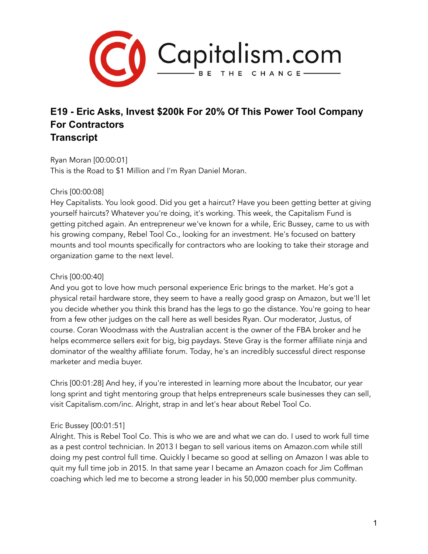

# **E19 - Eric Asks, Invest \$200k For 20% Of This Power Tool Company For Contractors Transcript**

Ryan Moran [00:00:01] This is the Road to \$1 Million and I'm Ryan Daniel Moran.

## Chris [00:00:08]

Hey Capitalists. You look good. Did you get a haircut? Have you been getting better at giving yourself haircuts? Whatever you're doing, it's working. This week, the Capitalism Fund is getting pitched again. An entrepreneur we've known for a while, Eric Bussey, came to us with his growing company, Rebel Tool Co., looking for an investment. He's focused on battery mounts and tool mounts specifically for contractors who are looking to take their storage and organization game to the next level.

## Chris [00:00:40]

And you got to love how much personal experience Eric brings to the market. He's got a physical retail hardware store, they seem to have a really good grasp on Amazon, but we'll let you decide whether you think this brand has the legs to go the distance. You're going to hear from a few other judges on the call here as well besides Ryan. Our moderator, Justus, of course. Coran Woodmass with the Australian accent is the owner of the FBA broker and he helps ecommerce sellers exit for big, big paydays. Steve Gray is the former affiliate ninja and dominator of the wealthy affiliate forum. Today, he's an incredibly successful direct response marketer and media buyer.

Chris [00:01:28] And hey, if you're interested in learning more about the Incubator, our year long sprint and tight mentoring group that helps entrepreneurs scale businesses they can sell, visit Capitalism.com/inc. Alright, strap in and let's hear about Rebel Tool Co.

# Eric Bussey [00:01:51]

Alright. This is Rebel Tool Co. This is who we are and what we can do. I used to work full time as a pest control technician. In 2013 I began to sell various items on Amazon.com while still doing my pest control full time. Quickly I became so good at selling on Amazon I was able to quit my full time job in 2015. In that same year I became an Amazon coach for Jim Coffman coaching which led me to become a strong leader in his 50,000 member plus community.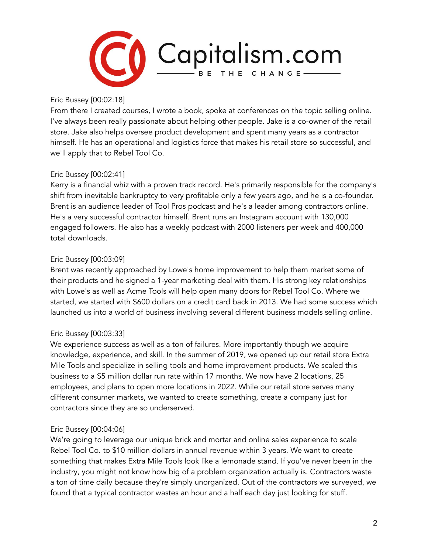

Eric Bussey [00:02:18]

From there I created courses, I wrote a book, spoke at conferences on the topic selling online. I've always been really passionate about helping other people. Jake is a co-owner of the retail store. Jake also helps oversee product development and spent many years as a contractor himself. He has an operational and logistics force that makes his retail store so successful, and we'll apply that to Rebel Tool Co.

## Eric Bussey [00:02:41]

Kerry is a financial whiz with a proven track record. He's primarily responsible for the company's shift from inevitable bankruptcy to very profitable only a few years ago, and he is a co-founder. Brent is an audience leader of Tool Pros podcast and he's a leader among contractors online. He's a very successful contractor himself. Brent runs an Instagram account with 130,000 engaged followers. He also has a weekly podcast with 2000 listeners per week and 400,000 total downloads.

## Eric Bussey [00:03:09]

Brent was recently approached by Lowe's home improvement to help them market some of their products and he signed a 1-year marketing deal with them. His strong key relationships with Lowe's as well as Acme Tools will help open many doors for Rebel Tool Co. Where we started, we started with \$600 dollars on a credit card back in 2013. We had some success which launched us into a world of business involving several different business models selling online.

# Eric Bussey [00:03:33]

We experience success as well as a ton of failures. More importantly though we acquire knowledge, experience, and skill. In the summer of 2019, we opened up our retail store Extra Mile Tools and specialize in selling tools and home improvement products. We scaled this business to a \$5 million dollar run rate within 17 months. We now have 2 locations, 25 employees, and plans to open more locations in 2022. While our retail store serves many different consumer markets, we wanted to create something, create a company just for contractors since they are so underserved.

## Eric Bussey [00:04:06]

We're going to leverage our unique brick and mortar and online sales experience to scale Rebel Tool Co. to \$10 million dollars in annual revenue within 3 years. We want to create something that makes Extra Mile Tools look like a lemonade stand. If you've never been in the industry, you might not know how big of a problem organization actually is. Contractors waste a ton of time daily because they're simply unorganized. Out of the contractors we surveyed, we found that a typical contractor wastes an hour and a half each day just looking for stuff.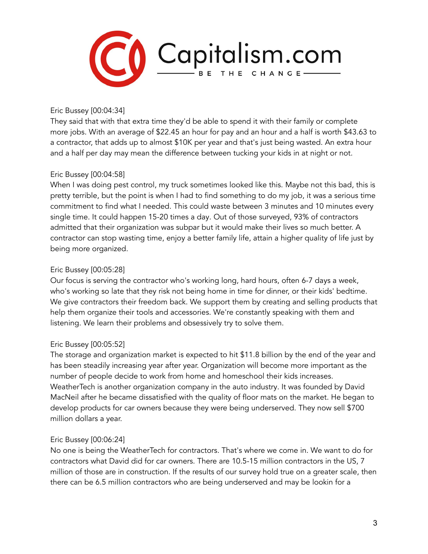

Eric Bussey [00:04:34]

They said that with that extra time they'd be able to spend it with their family or complete more jobs. With an average of \$22.45 an hour for pay and an hour and a half is worth \$43.63 to a contractor, that adds up to almost \$10K per year and that's just being wasted. An extra hour and a half per day may mean the difference between tucking your kids in at night or not.

## Eric Bussey [00:04:58]

When I was doing pest control, my truck sometimes looked like this. Maybe not this bad, this is pretty terrible, but the point is when I had to find something to do my job, it was a serious time commitment to find what I needed. This could waste between 3 minutes and 10 minutes every single time. It could happen 15-20 times a day. Out of those surveyed, 93% of contractors admitted that their organization was subpar but it would make their lives so much better. A contractor can stop wasting time, enjoy a better family life, attain a higher quality of life just by being more organized.

## Eric Bussey [00:05:28]

Our focus is serving the contractor who's working long, hard hours, often 6-7 days a week, who's working so late that they risk not being home in time for dinner, or their kids' bedtime. We give contractors their freedom back. We support them by creating and selling products that help them organize their tools and accessories. We're constantly speaking with them and listening. We learn their problems and obsessively try to solve them.

# Eric Bussey [00:05:52]

The storage and organization market is expected to hit \$11.8 billion by the end of the year and has been steadily increasing year after year. Organization will become more important as the number of people decide to work from home and homeschool their kids increases. WeatherTech is another organization company in the auto industry. It was founded by David MacNeil after he became dissatisfied with the quality of floor mats on the market. He began to develop products for car owners because they were being underserved. They now sell \$700 million dollars a year.

## Eric Bussey [00:06:24]

No one is being the WeatherTech for contractors. That's where we come in. We want to do for contractors what David did for car owners. There are 10.5-15 million contractors in the US, 7 million of those are in construction. If the results of our survey hold true on a greater scale, then there can be 6.5 million contractors who are being underserved and may be lookin for a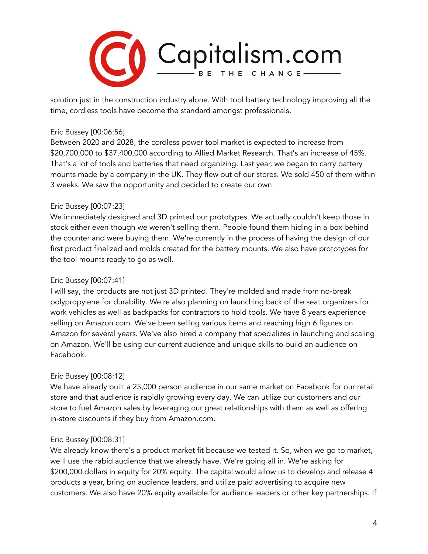

solution just in the construction industry alone. With tool battery technology improving all the time, cordless tools have become the standard amongst professionals.

## Eric Bussey [00:06:56]

Between 2020 and 2028, the cordless power tool market is expected to increase from \$20,700,000 to \$37,400,000 according to Allied Market Research. That's an increase of 45%. That's a lot of tools and batteries that need organizing. Last year, we began to carry battery mounts made by a company in the UK. They flew out of our stores. We sold 450 of them within 3 weeks. We saw the opportunity and decided to create our own.

#### Eric Bussey [00:07:23]

We immediately designed and 3D printed our prototypes. We actually couldn't keep those in stock either even though we weren't selling them. People found them hiding in a box behind the counter and were buying them. We're currently in the process of having the design of our first product finalized and molds created for the battery mounts. We also have prototypes for the tool mounts ready to go as well.

#### Eric Bussey [00:07:41]

I will say, the products are not just 3D printed. They're molded and made from no-break polypropylene for durability. We're also planning on launching back of the seat organizers for work vehicles as well as backpacks for contractors to hold tools. We have 8 years experience selling on Amazon.com. We've been selling various items and reaching high 6 figures on Amazon for several years. We've also hired a company that specializes in launching and scaling on Amazon. We'll be using our current audience and unique skills to build an audience on Facebook.

## Eric Bussey [00:08:12]

We have already built a 25,000 person audience in our same market on Facebook for our retail store and that audience is rapidly growing every day. We can utilize our customers and our store to fuel Amazon sales by leveraging our great relationships with them as well as offering in-store discounts if they buy from Amazon.com.

#### Eric Bussey [00:08:31]

We already know there's a product market fit because we tested it. So, when we go to market, we'll use the rabid audience that we already have. We're going all in. We're asking for \$200,000 dollars in equity for 20% equity. The capital would allow us to develop and release 4 products a year, bring on audience leaders, and utilize paid advertising to acquire new customers. We also have 20% equity available for audience leaders or other key partnerships. If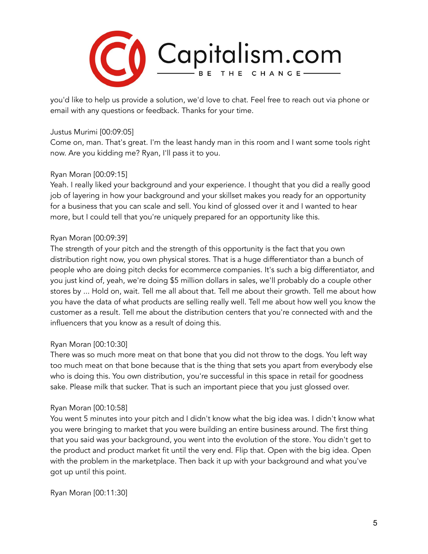

you'd like to help us provide a solution, we'd love to chat. Feel free to reach out via phone or email with any questions or feedback. Thanks for your time.

## Justus Murimi [00:09:05]

Come on, man. That's great. I'm the least handy man in this room and I want some tools right now. Are you kidding me? Ryan, I'll pass it to you.

# Ryan Moran [00:09:15]

Yeah. I really liked your background and your experience. I thought that you did a really good job of layering in how your background and your skillset makes you ready for an opportunity for a business that you can scale and sell. You kind of glossed over it and I wanted to hear more, but I could tell that you're uniquely prepared for an opportunity like this.

## Ryan Moran [00:09:39]

The strength of your pitch and the strength of this opportunity is the fact that you own distribution right now, you own physical stores. That is a huge differentiator than a bunch of people who are doing pitch decks for ecommerce companies. It's such a big differentiator, and you just kind of, yeah, we're doing \$5 million dollars in sales, we'll probably do a couple other stores by ... Hold on, wait. Tell me all about that. Tell me about their growth. Tell me about how you have the data of what products are selling really well. Tell me about how well you know the customer as a result. Tell me about the distribution centers that you're connected with and the influencers that you know as a result of doing this.

# Ryan Moran [00:10:30]

There was so much more meat on that bone that you did not throw to the dogs. You left way too much meat on that bone because that is the thing that sets you apart from everybody else who is doing this. You own distribution, you're successful in this space in retail for goodness sake. Please milk that sucker. That is such an important piece that you just glossed over.

## Ryan Moran [00:10:58]

You went 5 minutes into your pitch and I didn't know what the big idea was. I didn't know what you were bringing to market that you were building an entire business around. The first thing that you said was your background, you went into the evolution of the store. You didn't get to the product and product market fit until the very end. Flip that. Open with the big idea. Open with the problem in the marketplace. Then back it up with your background and what you've got up until this point.

Ryan Moran [00:11:30]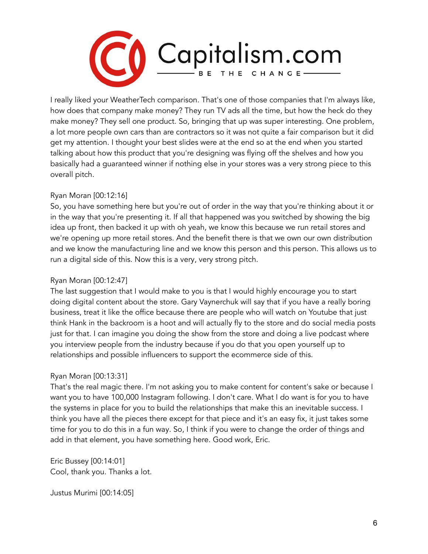

I really liked your WeatherTech comparison. That's one of those companies that I'm always like, how does that company make money? They run TV ads all the time, but how the heck do they make money? They sell one product. So, bringing that up was super interesting. One problem, a lot more people own cars than are contractors so it was not quite a fair comparison but it did get my attention. I thought your best slides were at the end so at the end when you started talking about how this product that you're designing was flying off the shelves and how you basically had a guaranteed winner if nothing else in your stores was a very strong piece to this overall pitch.

## Ryan Moran [00:12:16]

So, you have something here but you're out of order in the way that you're thinking about it or in the way that you're presenting it. If all that happened was you switched by showing the big idea up front, then backed it up with oh yeah, we know this because we run retail stores and we're opening up more retail stores. And the benefit there is that we own our own distribution and we know the manufacturing line and we know this person and this person. This allows us to run a digital side of this. Now this is a very, very strong pitch.

## Ryan Moran [00:12:47]

The last suggestion that I would make to you is that I would highly encourage you to start doing digital content about the store. Gary Vaynerchuk will say that if you have a really boring business, treat it like the office because there are people who will watch on Youtube that just think Hank in the backroom is a hoot and will actually fly to the store and do social media posts just for that. I can imagine you doing the show from the store and doing a live podcast where you interview people from the industry because if you do that you open yourself up to relationships and possible influencers to support the ecommerce side of this.

## Ryan Moran [00:13:31]

That's the real magic there. I'm not asking you to make content for content's sake or because I want you to have 100,000 Instagram following. I don't care. What I do want is for you to have the systems in place for you to build the relationships that make this an inevitable success. I think you have all the pieces there except for that piece and it's an easy fix, it just takes some time for you to do this in a fun way. So, I think if you were to change the order of things and add in that element, you have something here. Good work, Eric.

Eric Bussey [00:14:01] Cool, thank you. Thanks a lot.

Justus Murimi [00:14:05]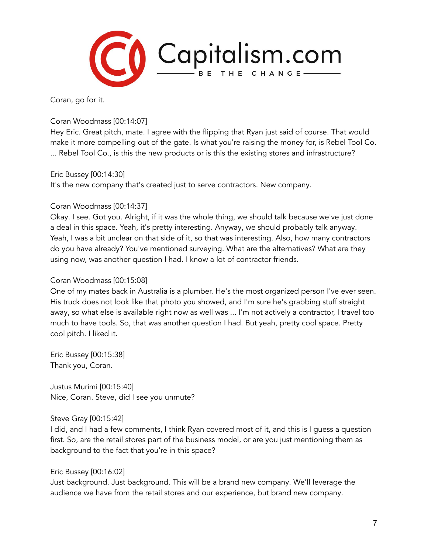

Coran, go for it.

Coran Woodmass [00:14:07]

Hey Eric. Great pitch, mate. I agree with the flipping that Ryan just said of course. That would make it more compelling out of the gate. Is what you're raising the money for, is Rebel Tool Co. ... Rebel Tool Co., is this the new products or is this the existing stores and infrastructure?

Eric Bussey [00:14:30]

It's the new company that's created just to serve contractors. New company.

## Coran Woodmass [00:14:37]

Okay. I see. Got you. Alright, if it was the whole thing, we should talk because we've just done a deal in this space. Yeah, it's pretty interesting. Anyway, we should probably talk anyway. Yeah, I was a bit unclear on that side of it, so that was interesting. Also, how many contractors do you have already? You've mentioned surveying. What are the alternatives? What are they using now, was another question I had. I know a lot of contractor friends.

## Coran Woodmass [00:15:08]

One of my mates back in Australia is a plumber. He's the most organized person I've ever seen. His truck does not look like that photo you showed, and I'm sure he's grabbing stuff straight away, so what else is available right now as well was ... I'm not actively a contractor, I travel too much to have tools. So, that was another question I had. But yeah, pretty cool space. Pretty cool pitch. I liked it.

Eric Bussey [00:15:38] Thank you, Coran.

Justus Murimi [00:15:40] Nice, Coran. Steve, did I see you unmute?

## Steve Gray [00:15:42]

I did, and I had a few comments, I think Ryan covered most of it, and this is I guess a question first. So, are the retail stores part of the business model, or are you just mentioning them as background to the fact that you're in this space?

# Eric Bussey [00:16:02]

Just background. Just background. This will be a brand new company. We'll leverage the audience we have from the retail stores and our experience, but brand new company.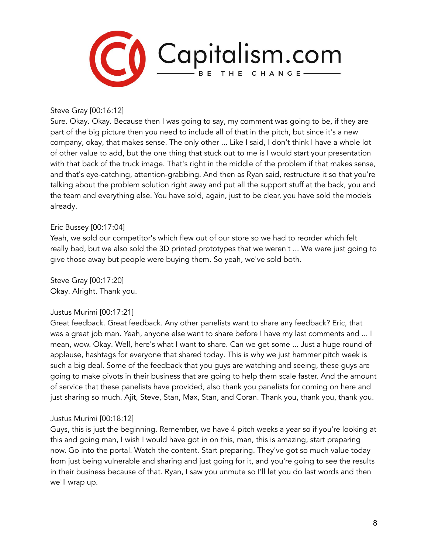

#### Steve Gray [00:16:12]

Sure. Okay. Okay. Because then I was going to say, my comment was going to be, if they are part of the big picture then you need to include all of that in the pitch, but since it's a new company, okay, that makes sense. The only other ... Like I said, I don't think I have a whole lot of other value to add, but the one thing that stuck out to me is I would start your presentation with that back of the truck image. That's right in the middle of the problem if that makes sense, and that's eye-catching, attention-grabbing. And then as Ryan said, restructure it so that you're talking about the problem solution right away and put all the support stuff at the back, you and the team and everything else. You have sold, again, just to be clear, you have sold the models already.

#### Eric Bussey [00:17:04]

Yeah, we sold our competitor's which flew out of our store so we had to reorder which felt really bad, but we also sold the 3D printed prototypes that we weren't ... We were just going to give those away but people were buying them. So yeah, we've sold both.

Steve Gray [00:17:20] Okay. Alright. Thank you.

## Justus Murimi [00:17:21]

Great feedback. Great feedback. Any other panelists want to share any feedback? Eric, that was a great job man. Yeah, anyone else want to share before I have my last comments and ... I mean, wow. Okay. Well, here's what I want to share. Can we get some ... Just a huge round of applause, hashtags for everyone that shared today. This is why we just hammer pitch week is such a big deal. Some of the feedback that you guys are watching and seeing, these guys are going to make pivots in their business that are going to help them scale faster. And the amount of service that these panelists have provided, also thank you panelists for coming on here and just sharing so much. Ajit, Steve, Stan, Max, Stan, and Coran. Thank you, thank you, thank you.

## Justus Murimi [00:18:12]

Guys, this is just the beginning. Remember, we have 4 pitch weeks a year so if you're looking at this and going man, I wish I would have got in on this, man, this is amazing, start preparing now. Go into the portal. Watch the content. Start preparing. They've got so much value today from just being vulnerable and sharing and just going for it, and you're going to see the results in their business because of that. Ryan, I saw you unmute so I'll let you do last words and then we'll wrap up.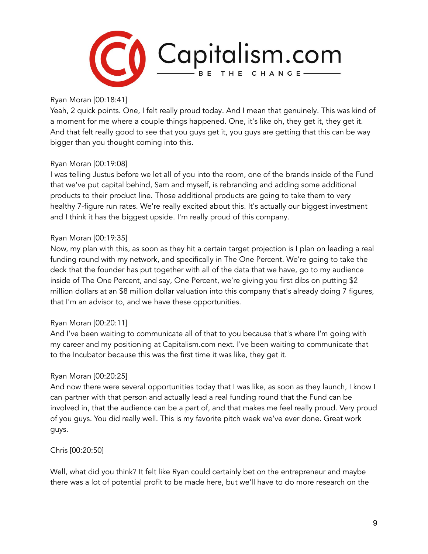

Ryan Moran [00:18:41]

Yeah, 2 quick points. One, I felt really proud today. And I mean that genuinely. This was kind of a moment for me where a couple things happened. One, it's like oh, they get it, they get it. And that felt really good to see that you guys get it, you guys are getting that this can be way bigger than you thought coming into this.

## Ryan Moran [00:19:08]

I was telling Justus before we let all of you into the room, one of the brands inside of the Fund that we've put capital behind, Sam and myself, is rebranding and adding some additional products to their product line. Those additional products are going to take them to very healthy 7-figure run rates. We're really excited about this. It's actually our biggest investment and I think it has the biggest upside. I'm really proud of this company.

## Ryan Moran [00:19:35]

Now, my plan with this, as soon as they hit a certain target projection is I plan on leading a real funding round with my network, and specifically in The One Percent. We're going to take the deck that the founder has put together with all of the data that we have, go to my audience inside of The One Percent, and say, One Percent, we're giving you first dibs on putting \$2 million dollars at an \$8 million dollar valuation into this company that's already doing 7 figures, that I'm an advisor to, and we have these opportunities.

## Ryan Moran [00:20:11]

And I've been waiting to communicate all of that to you because that's where I'm going with my career and my positioning at Capitalism.com next. I've been waiting to communicate that to the Incubator because this was the first time it was like, they get it.

## Ryan Moran [00:20:25]

And now there were several opportunities today that I was like, as soon as they launch, I know I can partner with that person and actually lead a real funding round that the Fund can be involved in, that the audience can be a part of, and that makes me feel really proud. Very proud of you guys. You did really well. This is my favorite pitch week we've ever done. Great work guys.

Chris [00:20:50]

Well, what did you think? It felt like Ryan could certainly bet on the entrepreneur and maybe there was a lot of potential profit to be made here, but we'll have to do more research on the